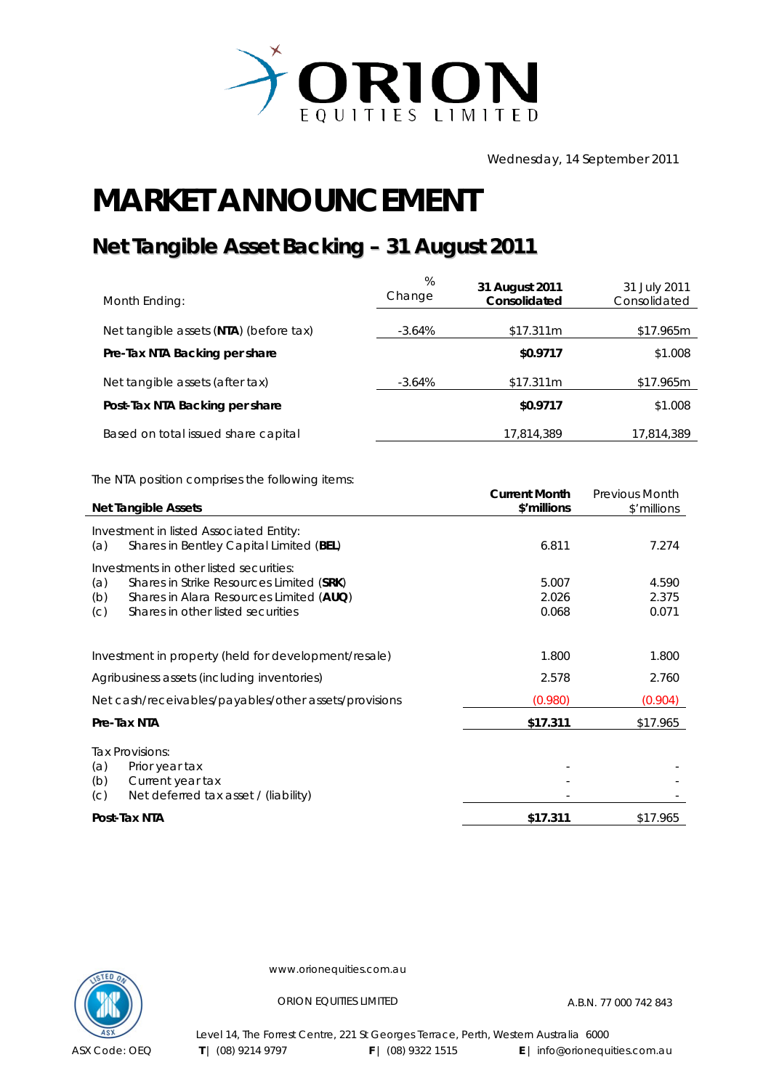

Wednesday, 14 September 2011

## **MARKET ANNOUNCEMENT**

## **Net Tangible Asset Backing – 31 August 2011**

| Month Ending:                          | %<br>Change | 31 August 2011<br>Consolidated | 31 July 2011<br>Consolidated |
|----------------------------------------|-------------|--------------------------------|------------------------------|
| Net tangible assets (NTA) (before tax) | $-3.64\%$   | \$17.311m                      | \$17.965m                    |
| Pre-Tax NTA Backing per share          |             | \$0.9717                       | \$1.008                      |
| Net tangible assets (after tax)        | $-3.64\%$   | \$17.311m                      | \$17.965m                    |
| Post-Tax NTA Backing per share         |             | \$0.9717                       | \$1.008                      |
| Based on total issued share capital    |             | 17,814,389                     | 17,814,389                   |

The NTA position comprises the following items:

|                                                                                                                                                                                          | <b>Current Month</b>    | Previous Month          |
|------------------------------------------------------------------------------------------------------------------------------------------------------------------------------------------|-------------------------|-------------------------|
| <b>Net Tangible Assets</b>                                                                                                                                                               | \$'millions             | \$'millions             |
| Investment in listed Associated Entity:<br>Shares in Bentley Capital Limited (BEL)<br>(a)                                                                                                | 6.811                   | 7.274                   |
| Investments in other listed securities:<br>Shares in Strike Resources Limited (SRK)<br>(a)<br>Shares in Alara Resources Limited (AUQ)<br>(b)<br>Shares in other listed securities<br>(C) | 5.007<br>2.026<br>0.068 | 4.590<br>2.375<br>0.071 |
| Investment in property (held for development/resale)                                                                                                                                     | 1.800                   | 1.800                   |
| Agribusiness assets (including inventories)                                                                                                                                              | 2.578                   | 2.760                   |
| Net cash/receivables/payables/other assets/provisions                                                                                                                                    | (0.980)                 | (0.904)                 |
| Pre-Tax NTA                                                                                                                                                                              | \$17.311                | \$17.965                |
| Tax Provisions:<br>Prior year tax<br>(a)<br>(b)<br>Current year tax<br>(C)<br>Net deferred tax asset / (liability)                                                                       |                         |                         |
| Post-Tax NTA                                                                                                                                                                             | \$17.311                | \$17.965                |



www.orionequities.com.au

ORION EQUITIES LIMITED A.B.N. 77 000 742 843

Level 14, The Forrest Centre, 221 St Georges Terrace, Perth, Western Australia 6000 **T** | (08) 9214 9797 **F** | (08) 9322 1515 **E** | info@orionequities.com.au